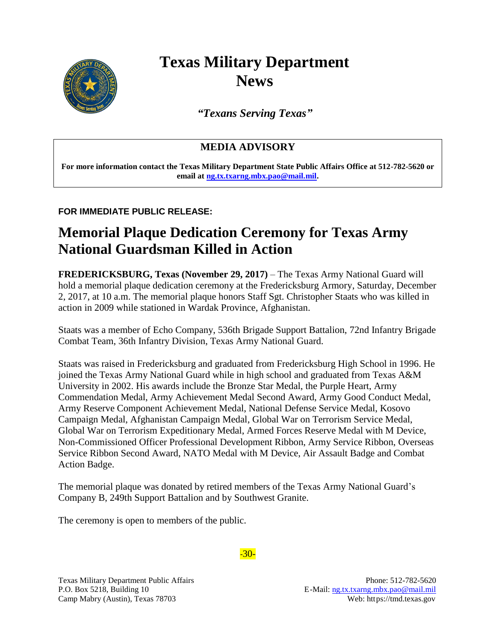

## **Texas Military Department News**

*"Texans Serving Texas"*

## **MEDIA ADVISORY**

**For more information contact the Texas Military Department State Public Affairs Office at 512-782-5620 or email at [ng.tx.txarng.mbx.pao@mail.mil.](mailto:ng.tx.txarng.mbx.pao@mail.mil)** 

## **FOR IMMEDIATE PUBLIC RELEASE:**

## **Memorial Plaque Dedication Ceremony for Texas Army National Guardsman Killed in Action**

**FREDERICKSBURG, Texas (November 29, 2017)** – The Texas Army National Guard will hold a memorial plaque dedication ceremony at the Fredericksburg Armory, Saturday, December 2, 2017, at 10 a.m. The memorial plaque honors Staff Sgt. Christopher Staats who was killed in action in 2009 while stationed in Wardak Province, Afghanistan.

Staats was a member of Echo Company, 536th Brigade Support Battalion, 72nd Infantry Brigade Combat Team, 36th Infantry Division, Texas Army National Guard.

Staats was raised in Fredericksburg and graduated from Fredericksburg High School in 1996. He joined the Texas Army National Guard while in high school and graduated from Texas A&M University in 2002. His awards include the Bronze Star Medal, the Purple Heart, Army Commendation Medal, Army Achievement Medal Second Award, Army Good Conduct Medal, Army Reserve Component Achievement Medal, National Defense Service Medal, Kosovo Campaign Medal, Afghanistan Campaign Medal, Global War on Terrorism Service Medal, Global War on Terrorism Expeditionary Medal, Armed Forces Reserve Medal with M Device, Non-Commissioned Officer Professional Development Ribbon, Army Service Ribbon, Overseas Service Ribbon Second Award, NATO Medal with M Device, Air Assault Badge and Combat Action Badge.

The memorial plaque was donated by retired members of the Texas Army National Guard's Company B, 249th Support Battalion and by Southwest Granite.

The ceremony is open to members of the public.

Texas Military Department Public Affairs **Phone: 512-782-5620** 

*-*30-